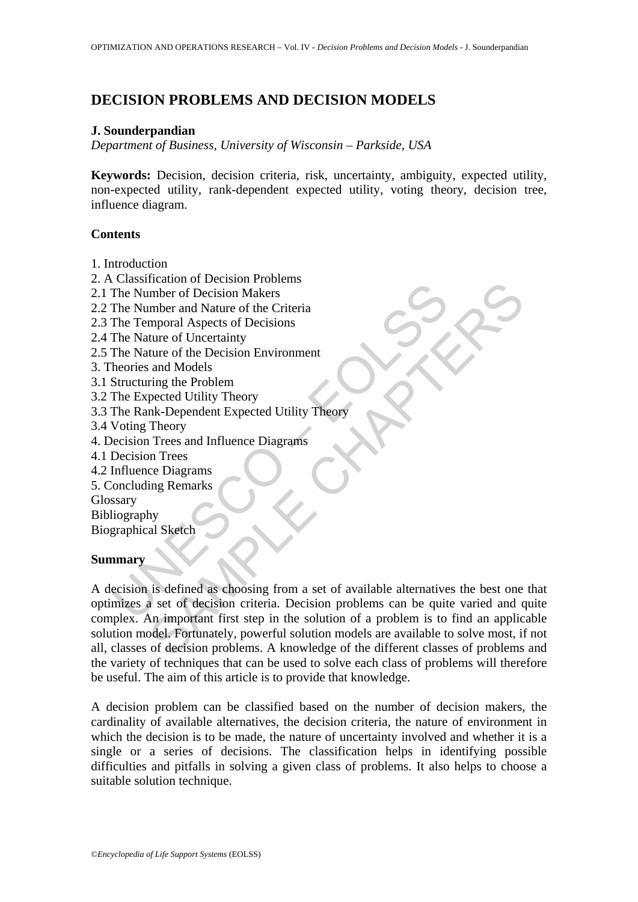# **DECISION PROBLEMS AND DECISION MODELS**

### **J. Sounderpandian**

*Department of Business, University of Wisconsin – Parkside, USA*

**Keywords:** Decision, decision criteria, risk, uncertainty, ambiguity, expected utility, non-expected utility, rank-dependent expected utility, voting theory, decision tree, influence diagram.

# **Contents**

- 1. Introduction
- 2. A Classification of Decision Problems
- 2.1 The Number of Decision Makers
- 2.2 The Number and Nature of the Criteria
- 2.3 The Temporal Aspects of Decisions
- 2.4 The Nature of Uncertainty
- 2.5 The Nature of the Decision Environment
- 3. Theories and Models
- 3.1 Structuring the Problem
- 3.2 The Expected Utility Theory
- 3.3 The Rank-Dependent Expected Utility Theory
- 3.4 Voting Theory
- 4. Decision Trees and Influence Diagrams
- 4.1 Decision Trees
- 4.2 Influence Diagrams
- 5. Concluding Remarks

Glossary

Bibliography

Biographical Sketch

### **Summary**

Cassination of Decision Makers<br>The Number of Decision Makers<br>The Number and Nature of the Criteria<br>The Temporal Aspects of Decisions<br>The Nature of Uncertainty<br>Here Nature of Uncertainty<br>heories and Models<br>Structuring the P Meadon of Decision Makers<br>
imber of Decision Makers<br>
imber of Decision Makers<br>
intere of the Crincinity<br>
ture of the Decision Environment<br>
ture of the Problem<br>
interest and Models<br>
interest and Influence Diagrams<br>
Theory<br> A decision is defined as choosing from a set of available alternatives the best one that optimizes a set of decision criteria. Decision problems can be quite varied and quite complex. An important first step in the solution of a problem is to find an applicable solution model. Fortunately, powerful solution models are available to solve most, if not all, classes of decision problems. A knowledge of the different classes of problems and the variety of techniques that can be used to solve each class of problems will therefore be useful. The aim of this article is to provide that knowledge.

A decision problem can be classified based on the number of decision makers, the cardinality of available alternatives, the decision criteria, the nature of environment in which the decision is to be made, the nature of uncertainty involved and whether it is a single or a series of decisions. The classification helps in identifying possible difficulties and pitfalls in solving a given class of problems. It also helps to choose a suitable solution technique.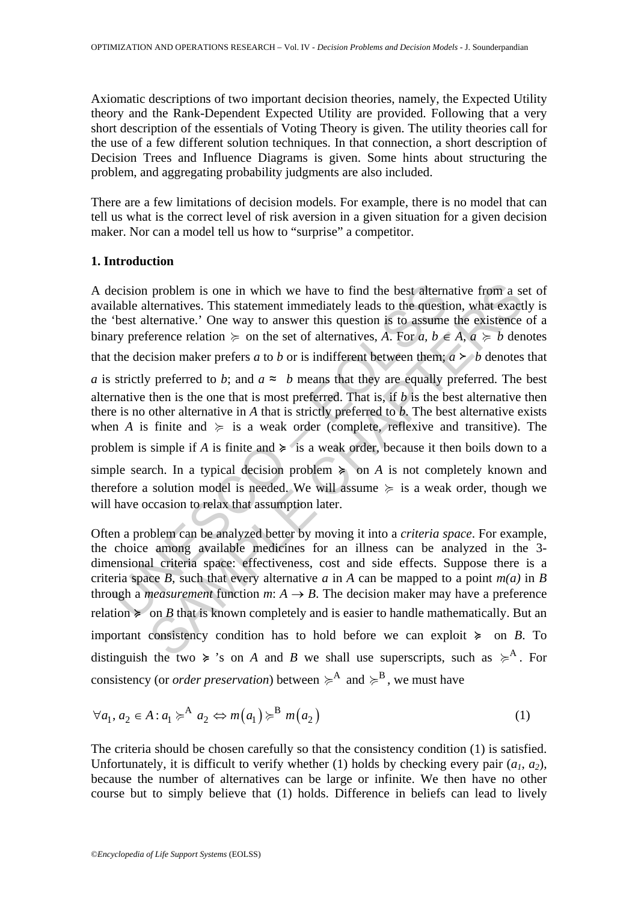Axiomatic descriptions of two important decision theories, namely, the Expected Utility theory and the Rank-Dependent Expected Utility are provided. Following that a very short description of the essentials of Voting Theory is given. The utility theories call for the use of a few different solution techniques. In that connection, a short description of Decision Trees and Influence Diagrams is given. Some hints about structuring the problem, and aggregating probability judgments are also included.

There are a few limitations of decision models. For example, there is no model that can tell us what is the correct level of risk aversion in a given situation for a given decision maker. Nor can a model tell us how to "surprise" a competitor.

# **1. Introduction**

A decision problem is one in which we have to find the best alternative from a set of available alternatives. This statement immediately leads to the question, what exactly is the 'best alternative.' One way to answer this question is to assume the existence of a binary preference relation  $\succeq$  on the set of alternatives, *A*. For *a*,  $b \in A$ ,  $a \succcurlyeq b$  denotes that the decision maker prefers *a* to *b* or is indifferent between them;  $a \succ b$  denotes that

ecision problem is one in which we have to find the best alternalable alternatives. This statement immediately leads to the questitives it is to assume that determative. The way to answer this question is to assume thy pr problem is one in which we have to find the best atternative from a sternatives. This statement immediately leads to the question, what exact thermative. One way to answer this question is to assume the existence relation *a* is strictly preferred to *b*; and  $a \approx b$  means that they are equally preferred. The best alternative then is the one that is most preferred. That is, if *b* is the best alternative then there is no other alternative in *A* that is strictly preferred to *b*. The best alternative exists when *A* is finite and  $\succeq$  is a weak order (complete, reflexive and transitive). The problem is simple if *A* is finite and  $\geq$  is a weak order, because it then boils down to a simple search. In a typical decision problem  $\geq$  on *A* is not completely known and therefore a solution model is needed. We will assume  $\succeq$  is a weak order, though we will have occasion to relax that assumption later.

Often a problem can be analyzed better by moving it into a *criteria space*. For example, the choice among available medicines for an illness can be analyzed in the 3 dimensional criteria space: effectiveness, cost and side effects. Suppose there is a criteria space *B*, such that every alternative *a* in *A* can be mapped to a point  $m(a)$  in *B* through a *measurement* function *m*:  $A \rightarrow B$ . The decision maker may have a preference relation  $\geq$  on *B* that is known completely and is easier to handle mathematically. But an important consistency condition has to hold before we can exploit  $\geq$  on *B*. To distinguish the two  $\geq$  's on *A* and *B* we shall use superscripts, such as  $\geq$ <sup>A</sup>. For consistency (or *order preservation*) between  $\geq^A$  and  $\geq^B$ , we must have

$$
\forall a_1, a_2 \in A : a_1 \succcurlyeq^A a_2 \Leftrightarrow m(a_1) \succcurlyeq^B m(a_2)
$$
 (1)

The criteria should be chosen carefully so that the consistency condition (1) is satisfied. Unfortunately, it is difficult to verify whether (1) holds by checking every pair  $(a_1, a_2)$ , because the number of alternatives can be large or infinite. We then have no other course but to simply believe that (1) holds. Difference in beliefs can lead to lively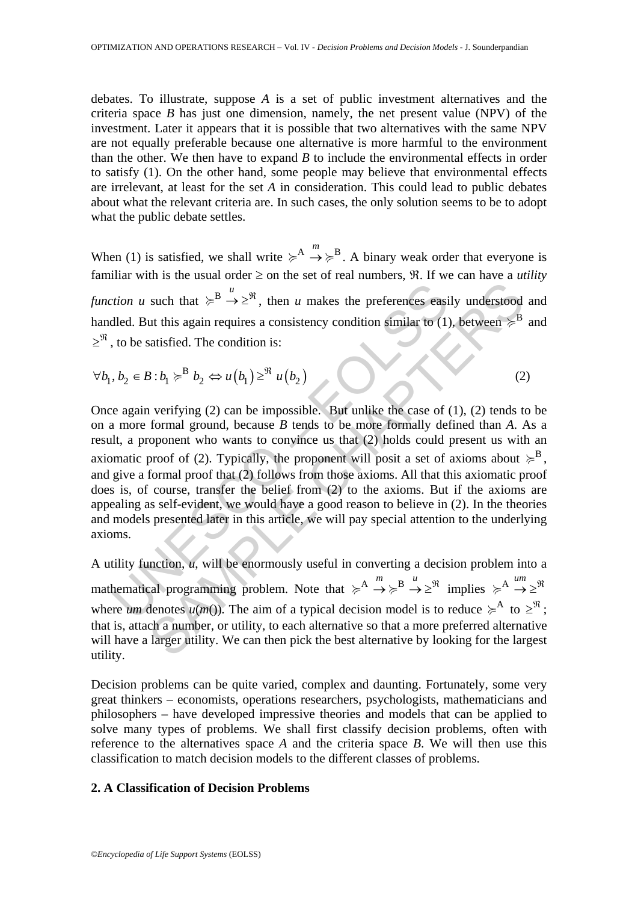debates. To illustrate, suppose *A* is a set of public investment alternatives and the criteria space *B* has just one dimension, namely, the net present value (NPV) of the investment. Later it appears that it is possible that two alternatives with the same NPV are not equally preferable because one alternative is more harmful to the environment than the other. We then have to expand *B* to include the environmental effects in order to satisfy (1). On the other hand, some people may believe that environmental effects are irrelevant, at least for the set *A* in consideration. This could lead to public debates about what the relevant criteria are. In such cases, the only solution seems to be to adopt what the public debate settles.

When (1) is satisfied, we shall write  $\geq^A \rightarrow \geq^B$ . A binary weak order that everyone is familiar with is the usual order  $\geq$  on the set of real numbers,  $\Re$ . If we can have a *utility function u* such that  $\geq^B \stackrel{u}{\rightarrow} \geq^{\mathfrak{R}}$ , then *u* makes the preferences easily understood and handled. But this again requires a consistency condition similar to (1), between  $\succ^B$  and  $\geq$ <sup>97</sup>, to be satisfied. The condition is:

$$
\forall b_1, b_2 \in B : b_1 \succ^B b_2 \Leftrightarrow u(b_1) \geq^{\Re} u(b_2)
$$
 (2)

tion u such that  $\geq B \xrightarrow{\mu} \geq \mathbb{R}$ , then u makes the preferences easi<br>
edd. But this again requires a consistency condition similar to (1)<br>
to be satisfied. The condition is:<br>  $b_2 \in B : b_1 \geq B$   $\omega(b_1) \geq \mathbb{R}$  u( $b_2$ such that  $\geq^B \to \geq^W$ , then *u* makes the preferences easily understood<br>ut this again requires a consistency condition similar to (1), between  $\geq^B$ <br>aatisfied. The condition is:<br>3:  $b_1 \geq^B b_2 \Leftrightarrow u(b_1) \geq^W u(b_2)$ <br>v Once again verifying (2) can be impossible. But unlike the case of (1), (2) tends to be on a more formal ground, because *B* tends to be more formally defined than *A*. As a result, a proponent who wants to convince us that (2) holds could present us with an axiomatic proof of (2). Typically, the proponent will posit a set of axioms about  $\succcurlyeq^B$ , and give a formal proof that (2) follows from those axioms. All that this axiomatic proof does is, of course, transfer the belief from (2) to the axioms. But if the axioms are appealing as self-evident, we would have a good reason to believe in (2). In the theories and models presented later in this article, we will pay special attention to the underlying axioms.

A utility function, *u*, will be enormously useful in converting a decision problem into a mathematical programming problem. Note that  $\geq^A \xrightarrow{m} \geq^B \xrightarrow{u} \geq^{\mathfrak{R}}$  implies  $\geq^A \xrightarrow{um} \geq^{\mathfrak{R}}$ where *um* denotes  $u(m)$ ). The aim of a typical decision model is to reduce  $\geq^{\mathcal{A}}$  to  $\geq^{\mathcal{R}}$ ; that is, attach a number, or utility, to each alternative so that a more preferred alternative will have a larger utility. We can then pick the best alternative by looking for the largest utility.

Decision problems can be quite varied, complex and daunting. Fortunately, some very great thinkers – economists, operations researchers, psychologists, mathematicians and philosophers – have developed impressive theories and models that can be applied to solve many types of problems. We shall first classify decision problems, often with reference to the alternatives space *A* and the criteria space *B*. We will then use this classification to match decision models to the different classes of problems.

#### **2. A Classification of Decision Problems**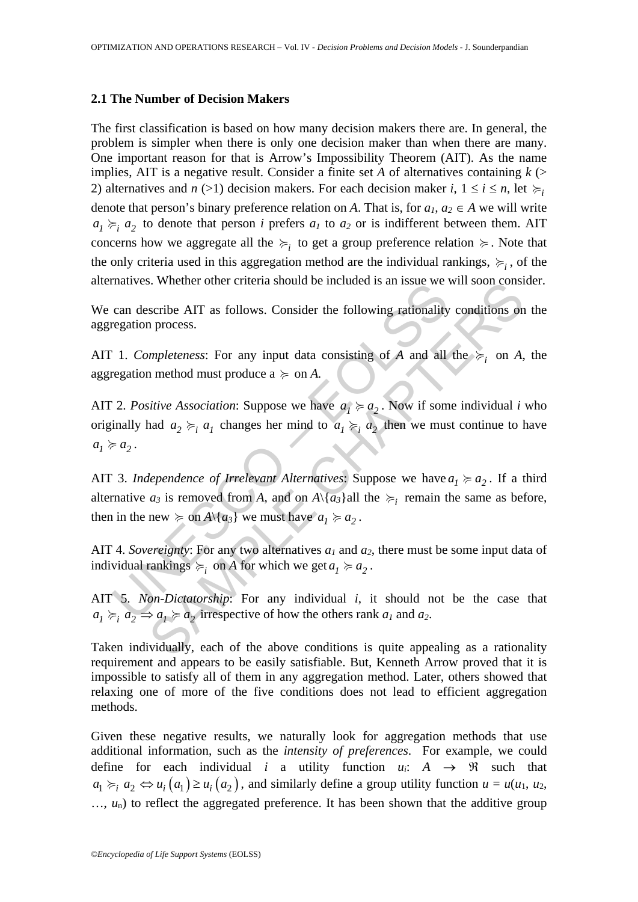#### **2.1 The Number of Decision Makers**

The first classification is based on how many decision makers there are. In general, the problem is simpler when there is only one decision maker than when there are many. One important reason for that is Arrow's Impossibility Theorem (AIT). As the name implies, AIT is a negative result. Consider a finite set *A* of alternatives containing  $k$  (> 2) alternatives and *n* (>1) decision makers. For each decision maker *i*,  $1 \le i \le n$ , let  $\succeq$ <sub>*i*</sub> denote that person's binary preference relation on *A*. That is, for  $a_1, a_2 \in A$  we will write  $a_1 \succcurlyeq_i a_2$  to denote that person *i* prefers  $a_1$  to  $a_2$  or is indifferent between them. AIT concerns how we aggregate all the  $\succcurlyeq$ <sub>*i*</sub> to get a group preference relation  $\succcurlyeq$ . Note that the only criteria used in this aggregation method are the individual rankings,  $\succcurlyeq_i$ , of the alternatives. Whether other criteria should be included is an issue we will soon consider.

We can describe AIT as follows. Consider the following rationality conditions on the aggregation process.

AIT 1. *Completeness*: For any input data consisting of *A* and all the  $\succcurlyeq_i$  on *A*, the aggregation method must produce  $a \geq 0$  on *A*.

that the state of the consisting of A and all in the new  $\geq$  or A.<br>
2. *Positive Association*: Suppose we have  $a_j \geq a_2$ . Now if some analytic  $a_2 \geq a_j$  changes her mind to  $a_1 \geq a_2$  then we must<br>
2. *Positive Assoc* Solution of the solution of the same state of the same size  $a_1 \ge a_2$ .<br>
Solutions on process.<br>
Seribe AIT as follows. Consider the following rationality conditions on<br>
process.<br>
Impleteness: For any input data consisting AIT 2. *Positive Association*: Suppose we have  $a_1 \ge a_2$ . Now if some individual *i* who originally had  $a_2 \succ_i a_1$  changes her mind to  $a_1 \succ_i a_2$  then we must continue to have  $a_1 \succcurlyeq a_2$ .

AIT 3. *Independence of Irrelevant Alternatives*: Suppose we have  $a_1 \ge a_2$ . If a third alternative  $a_3$  is removed from *A*, and on  $A \setminus \{a_3\}$ all the  $\succcurlyeq_i$  remain the same as before, then in the new  $\succeq$  on *A*\{*a<sub>3</sub>*} we must have  $a_1 \succ a_2$ .

AIT 4. *Sovereignty*: For any two alternatives  $a_1$  and  $a_2$ , there must be some input data of individual rankings  $\succcurlyeq_i$  on *A* for which we get  $a_1 \succcurlyeq a_2$ .

AIT 5. *Non-Dictatorship*: For any individual *i*, it should not be the case that  $a_1 \succcurlyeq_i a_2 \Rightarrow a_1 \succcurlyeq a_2$  irrespective of how the others rank  $a_1$  and  $a_2$ .

Taken individually, each of the above conditions is quite appealing as a rationality requirement and appears to be easily satisfiable. But, Kenneth Arrow proved that it is impossible to satisfy all of them in any aggregation method. Later, others showed that relaxing one of more of the five conditions does not lead to efficient aggregation methods.

Given these negative results, we naturally look for aggregation methods that use additional information, such as the *intensity of preferences*. For example, we could define for each individual *i* a utility function  $u_i$ :  $A \rightarrow \mathbb{R}$  such that  $a_1 \succcurlyeq_i a_2 \Leftrightarrow u_i(a_1) \geq u_i(a_2)$ , and similarly define a group utility function  $u = u(u_1, u_2, u_1)$  $..., u_n$ ) to reflect the aggregated preference. It has been shown that the additive group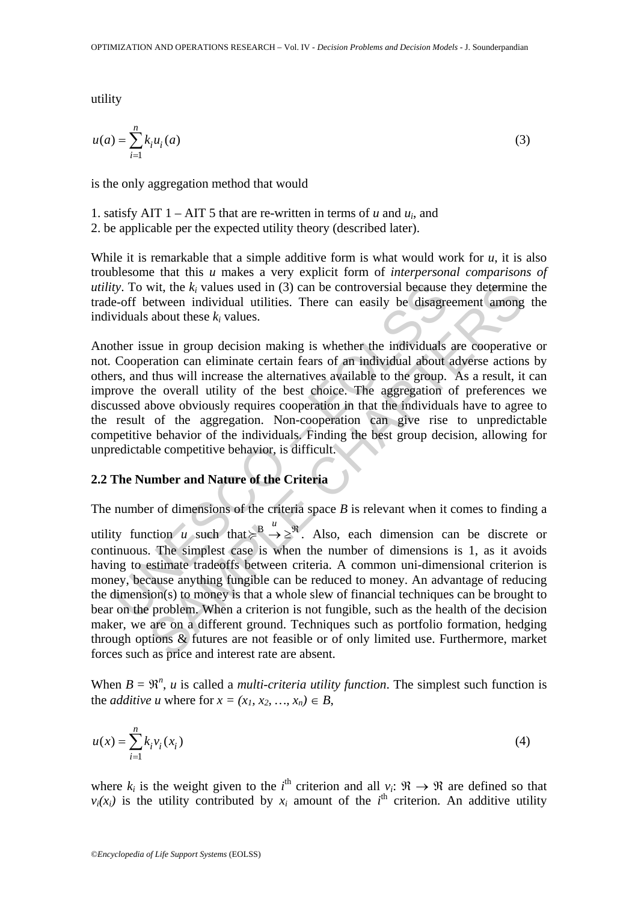utility

$$
u(a) = \sum_{i=1}^{n} k_i u_i(a)
$$
 (3)

is the only aggregation method that would

- 1. satisfy AIT  $1 AIT$  5 that are re-written in terms of *u* and  $u_i$ , and
- 2. be applicable per the expected utility theory (described later).

While it is remarkable that a simple additive form is what would work for *u*, it is also troublesome that this *u* makes a very explicit form of *interpersonal comparisons of utility*. To wit, the  $k_i$  values used in (3) can be controversial because they determine the trade-off between individual utilities. There can easily be disagreement among the individuals about these  $k_i$  values.

*ty.* To wit, the  $k_i$  values used in (3) can be controversial because<br>e-off between individual utilities. There can easily be disagre<br>viduals about these  $k_i$  values.<br>ther issue in group decision making is whether the in Another issue in group decision making is whether the individuals are cooperative or not. Cooperation can eliminate certain fears of an individual about adverse actions by others, and thus will increase the alternatives available to the group. As a result, it can improve the overall utility of the best choice. The aggregation of preferences we discussed above obviously requires cooperation in that the individuals have to agree to the result of the aggregation. Non-cooperation can give rise to unpredictable competitive behavior of the individuals. Finding the best group decision, allowing for unpredictable competitive behavior, is difficult.

## **2.2 The Number and Nature of the Criteria**

The number of dimensions of the criteria space *B* is relevant when it comes to finding a

wit, the  $k_i$  values used in (3) can be controversial because they determine<br>etween individual utilities. There can easily be disagreement among<br>about these  $k_i$  values.<br>Sue in group decision making is whether the individ utility function *u* such that  $\geq^B \rightarrow \geq^{\Re}$ . Also, each dimension can be discrete or continuous. The simplest case is when the number of dimensions is 1, as it avoids having to estimate tradeoffs between criteria. A common uni-dimensional criterion is money, because anything fungible can be reduced to money. An advantage of reducing the dimension(s) to money is that a whole slew of financial techniques can be brought to bear on the problem. When a criterion is not fungible, such as the health of the decision maker, we are on a different ground. Techniques such as portfolio formation, hedging through options & futures are not feasible or of only limited use. Furthermore, market forces such as price and interest rate are absent.

When  $B = \mathbb{R}^n$ , *u* is called a *multi-criteria utility function*. The simplest such function is the *additive u* where for  $x = (x_1, x_2, ..., x_n) \in B$ ,

$$
u(x) = \sum_{i=1}^{n} k_i v_i(x_i)
$$
 (4)

where  $k_i$  is the weight given to the *i*<sup>th</sup> criterion and all  $v_i: \mathbb{R} \to \mathbb{R}$  are defined so that  $v_i(x_i)$  is the utility contributed by  $x_i$  amount of the *i*<sup>th</sup> criterion. An additive utility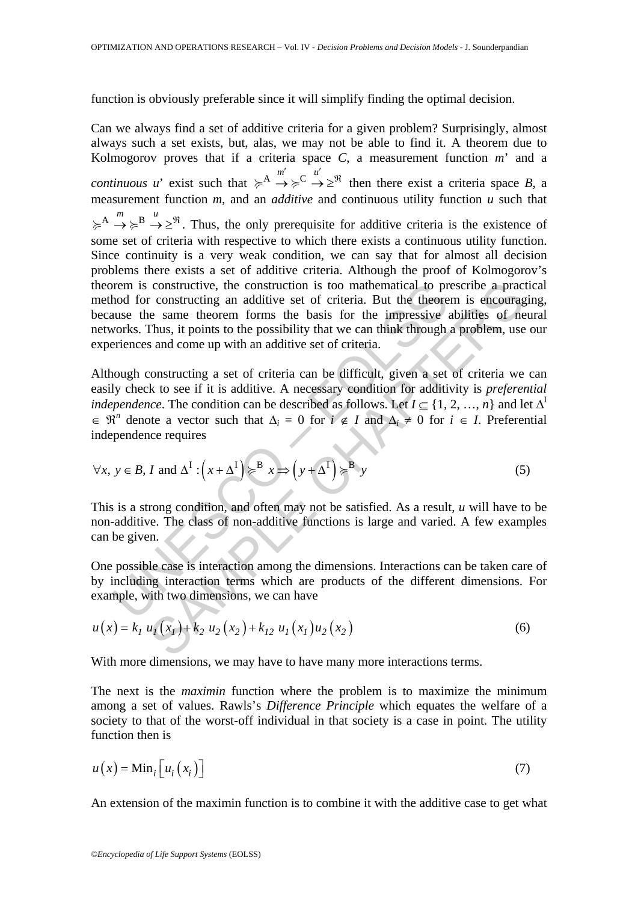function is obviously preferable since it will simplify finding the optimal decision.

Can we always find a set of additive criteria for a given problem? Surprisingly, almost always such a set exists, but, alas, we may not be able to find it. A theorem due to Kolmogorov proves that if a criteria space  $C$ , a measurement function  $m'$  and a *continuous u*' exist such that  $\geq^A \rightarrow \geq^C \rightarrow^{\mathcal{U}} \geq^{\mathcal{R}}$  then there exist a criteria space *B*, a measurement function *m*, and an *additive* and continuous utility function *u* such that  $\geq^A \rightarrow \geq^B \xrightarrow{u} \geq^{\mathfrak{R}}$ . Thus, the only prerequisite for additive criteria is the existence of some set of criteria with respective to which there exists a continuous utility function. Since continuity is a very weak condition, we can say that for almost all decision problems there exists a set of additive criteria. Although the proof of Kolmogorov's theorem is constructive, the construction is too mathematical to prescribe a practical method for constructing an additive set of criteria. But the theorem is encouraging, because the same theorem forms the basis for the impressive abilities of neural networks. Thus, it points to the possibility that we can think through a problem, use our experiences and come up with an additive set of criteria.

be the same theorem is constructive, the construction is too mathematical to prods for constructing an additive set of criteria. But the theore also the ampressive the same theorem forms the basis for the impressive perie constructive, the construction is too mathematical to prescribe a prace<br>
constructive an additive set of criteria. But the theorem is encourage<br>
chapted and the encome is encouraged Thus, it points, it points to the possi Although constructing a set of criteria can be difficult, given a set of criteria we can easily check to see if it is additive. A necessary condition for additivity is *preferential independence*. The condition can be described as follows. Let  $I \subset \{1, 2, ..., n\}$  and let  $\Delta^I$  $\in \mathbb{R}^n$  denote a vector such that  $\Delta_i = 0$  for  $i \notin I$  and  $\Delta_i \neq 0$  for  $i \in I$ . Preferential independence requires

$$
\forall x, y \in B, I \text{ and } \Delta^I: (x + \Delta^I) \ge B x \Rightarrow (y + \Delta^I) \ge B y
$$
 (5)

This is a strong condition, and often may not be satisfied. As a result, *u* will have to be non-additive. The class of non-additive functions is large and varied. A few examples can be given.

One possible case is interaction among the dimensions. Interactions can be taken care of by including interaction terms which are products of the different dimensions. For example, with two dimensions, we can have

$$
u(x) = k_1 u_1(x_1) + k_2 u_2(x_2) + k_{12} u_1(x_1) u_2(x_2)
$$
 (6)

With more dimensions, we may have to have many more interactions terms.

The next is the *maximin* function where the problem is to maximize the minimum among a set of values. Rawls's *Difference Principle* which equates the welfare of a society to that of the worst-off individual in that society is a case in point. The utility function then is

$$
u(x) = \text{Min}_{i} \left[ u_i(x_i) \right] \tag{7}
$$

An extension of the maximin function is to combine it with the additive case to get what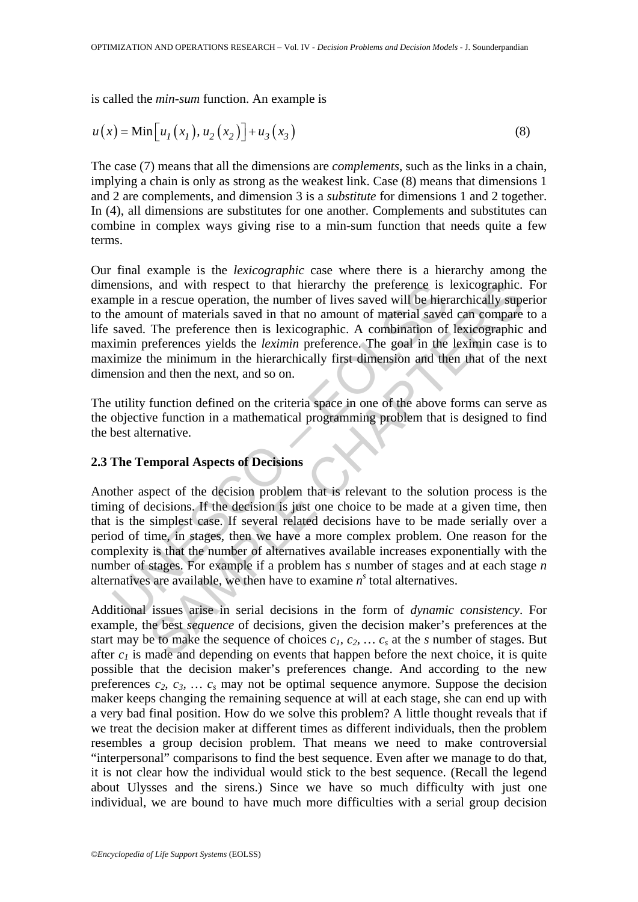is called the *min-sum* function. An example is

$$
u(x) = \min[u_1(x_1), u_2(x_2)] + u_3(x_3)
$$
\n(8)

The case (7) means that all the dimensions are *complements*, such as the links in a chain, implying a chain is only as strong as the weakest link. Case (8) means that dimensions 1 and 2 are complements, and dimension 3 is a *substitute* for dimensions 1 and 2 together. In (4), all dimensions are substitutes for one another. Complements and substitutes can combine in complex ways giving rise to a min-sum function that needs quite a few terms.

Our final example is the *lexicographic* case where there is a hierarchy among the dimensions, and with respect to that hierarchy the preference is lexicographic. For example in a rescue operation, the number of lives saved will be hierarchically superior to the amount of materials saved in that no amount of material saved can compare to a life saved. The preference then is lexicographic. A combination of lexicographic and maximin preferences yields the *leximin* preference. The goal in the leximin case is to maximize the minimum in the hierarchically first dimension and then that of the next dimension and then the next, and so on.

The utility function defined on the criteria space in one of the above forms can serve as the objective function in a mathematical programming problem that is designed to find the best alternative.

# **2.3 The Temporal Aspects of Decisions**

ensions, and with respect to that hierarchy the preference is<br>melonion, and with respect to that hierarchy the preference is<br>nee amount of materials saved in that no amount of material save<br>saved. The preference then is l is, and with respect to that hierarchy the preference is lexicographic.<br>
a rescue operation, the number of lives assed will be hierarchically support<br>
ant of materials saved in that no amount of material axed can compare<br> Another aspect of the decision problem that is relevant to the solution process is the timing of decisions. If the decision is just one choice to be made at a given time, then that is the simplest case. If several related decisions have to be made serially over a period of time, in stages, then we have a more complex problem. One reason for the complexity is that the number of alternatives available increases exponentially with the number of stages. For example if a problem has *s* number of stages and at each stage *n* alternatives are available, we then have to examine  $n<sup>s</sup>$  total alternatives.

Additional issues arise in serial decisions in the form of *dynamic consistency*. For example, the best *sequence* of decisions, given the decision maker's preferences at the start may be to make the sequence of choices  $c_1, c_2, \ldots, c_s$  at the *s* number of stages. But after  $c_1$  is made and depending on events that happen before the next choice, it is quite possible that the decision maker's preferences change. And according to the new preferences  $c_2$ ,  $c_3$ , ...  $c_s$  may not be optimal sequence anymore. Suppose the decision maker keeps changing the remaining sequence at will at each stage, she can end up with a very bad final position. How do we solve this problem? A little thought reveals that if we treat the decision maker at different times as different individuals, then the problem resembles a group decision problem. That means we need to make controversial "interpersonal" comparisons to find the best sequence. Even after we manage to do that, it is not clear how the individual would stick to the best sequence. (Recall the legend about Ulysses and the sirens.) Since we have so much difficulty with just one individual, we are bound to have much more difficulties with a serial group decision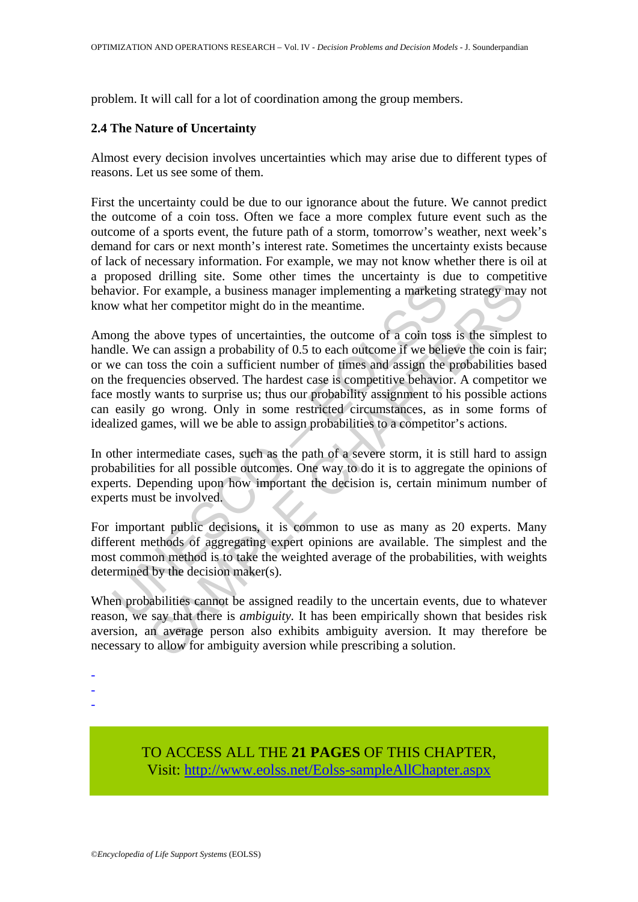problem. It will call for a lot of coordination among the group members.

# **2.4 The Nature of Uncertainty**

Almost every decision involves uncertainties which may arise due to different types of reasons. Let us see some of them.

First the uncertainty could be due to our ignorance about the future. We cannot predict the outcome of a coin toss. Often we face a more complex future event such as the outcome of a sports event, the future path of a storm, tomorrow's weather, next week's demand for cars or next month's interest rate. Sometimes the uncertainty exists because of lack of necessary information. For example, we may not know whether there is oil at a proposed drilling site. Some other times the uncertainty is due to competitive behavior. For example, a business manager implementing a marketing strategy may not know what her competitor might do in the meantime.

avior. For example, a business manager implementing a marketin<br>w what her competitor might do in the meantime.<br>Ong the above types of uncertainties, the outcome of a coin tos-<br>dle. We can assign a probability of 0.5 to eac For example, a business manager implementing a marketing strategy may<br>for example, a business manager implementing a marketing strategy may<br>her competitor might do in the meantime.<br>
a bove types of uncertainties, the outco Among the above types of uncertainties, the outcome of a coin toss is the simplest to handle. We can assign a probability of 0.5 to each outcome if we believe the coin is fair; or we can toss the coin a sufficient number of times and assign the probabilities based on the frequencies observed. The hardest case is competitive behavior. A competitor we face mostly wants to surprise us; thus our probability assignment to his possible actions can easily go wrong. Only in some restricted circumstances, as in some forms of idealized games, will we be able to assign probabilities to a competitor's actions.

In other intermediate cases, such as the path of a severe storm, it is still hard to assign probabilities for all possible outcomes. One way to do it is to aggregate the opinions of experts. Depending upon how important the decision is, certain minimum number of experts must be involved.

For important public decisions, it is common to use as many as 20 experts. Many different methods of aggregating expert opinions are available. The simplest and the most common method is to take the weighted average of the probabilities, with weights determined by the decision maker(s).

When probabilities cannot be assigned readily to the uncertain events, due to whatever reason, we say that there is *ambiguity.* It has been empirically shown that besides risk aversion, an average person also exhibits ambiguity aversion. It may therefore be necessary to allow for ambiguity aversion while prescribing a solution.

- -
- -
- -

TO ACCESS ALL THE **21 PAGES** OF THIS CHAPTER, Visit[: http://www.eolss.net/Eolss-sampleAllChapter.aspx](https://www.eolss.net/ebooklib/sc_cart.aspx?File=E6-05-06-04)